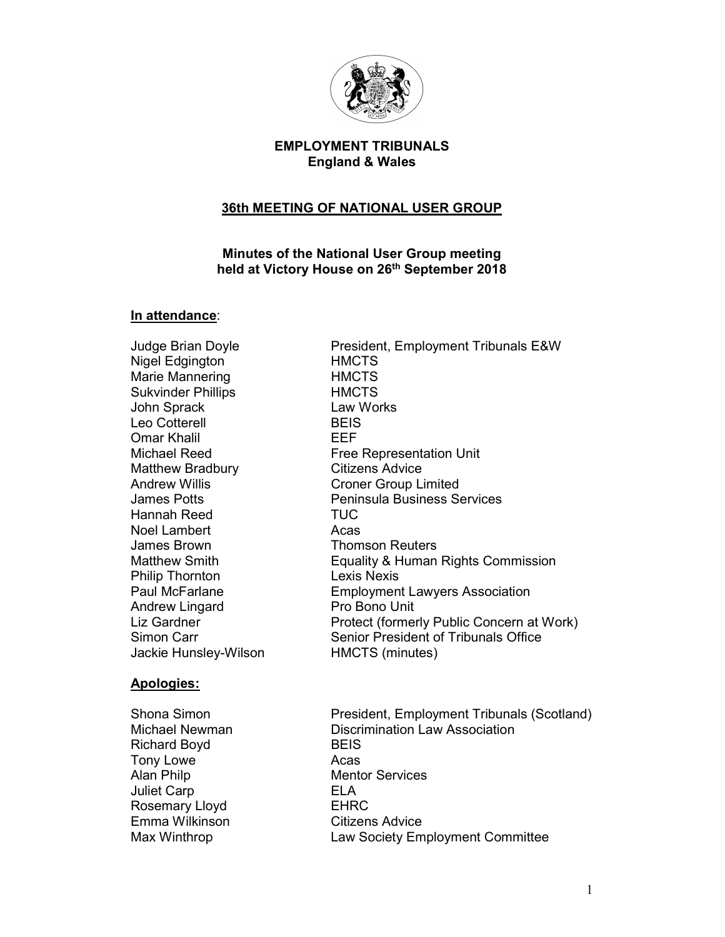

# EMPLOYMENT TRIBUNALS England & Wales

## 36th MEETING OF NATIONAL USER GROUP

### Minutes of the National User Group meeting held at Victory House on 26<sup>th</sup> September 2018

### In attendance:

Nigel Edgington **HMCTS** Marie Mannering **HMCTS** Sukvinder Phillips **HMCTS** John Sprack Law Works Leo Cotterell **BEIS** Omar Khalil EEF Matthew Bradbury **Citizens Advice** Hannah Reed TUC Noel Lambert **Acas** James Brown **Thomson Reuters** Philip Thornton Lexis Nexis Andrew Lingard **Pro Bono Unit** Jackie Hunsley-Wilson HMCTS (minutes)

## Apologies:

Richard Boyd BEIS Tony Lowe **Acas** Alan Philp **Mentor Services** Juliet Carp **ELA** Rosemary Lloyd EHRC Emma Wilkinson Citizens Advice

Judge Brian Doyle President, Employment Tribunals E&W Michael Reed **Free Representation Unit** Andrew Willis Croner Group Limited James Potts Peninsula Business Services Matthew Smith **Equality & Human Rights Commission** Paul McFarlane **Employment Lawyers Association** Liz Gardner **Protect** (formerly Public Concern at Work) Simon Carr Senior President of Tribunals Office

Shona Simon **President, Employment Tribunals (Scotland)** Michael Newman Discrimination Law Association Max Winthrop Law Society Employment Committee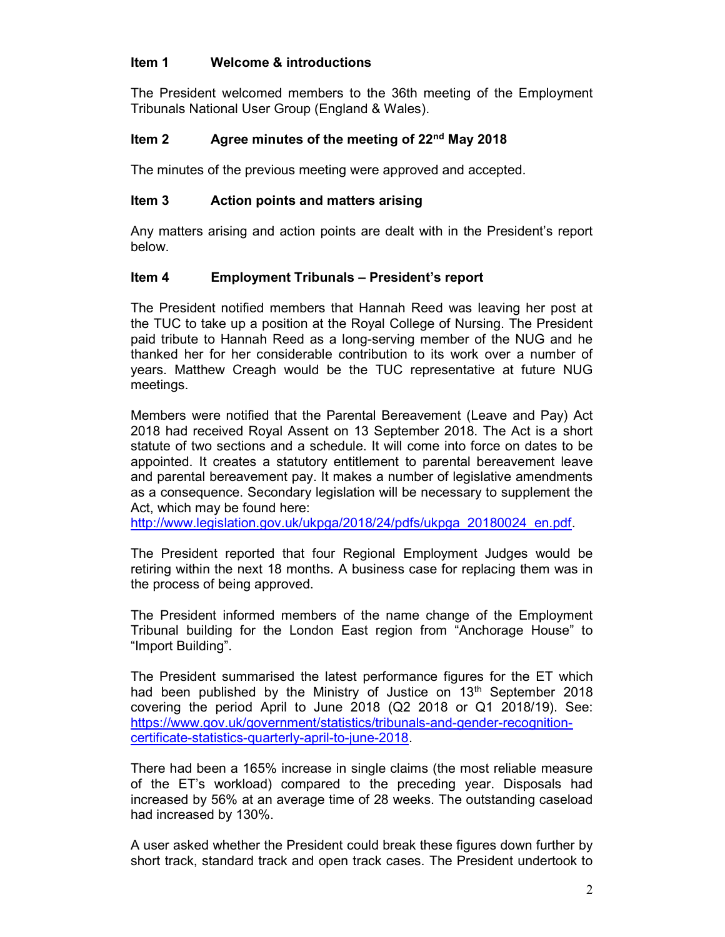### Item 1 Welcome & introductions

The President welcomed members to the 36th meeting of the Employment Tribunals National User Group (England & Wales).

# Item 2  $\frac{2}{3}$  Agree minutes of the meeting of 22<sup>nd</sup> May 2018

The minutes of the previous meeting were approved and accepted.

## Item 3 Action points and matters arising

Any matters arising and action points are dealt with in the President's report below.

### Item 4 Employment Tribunals – President's report

The President notified members that Hannah Reed was leaving her post at the TUC to take up a position at the Royal College of Nursing. The President paid tribute to Hannah Reed as a long-serving member of the NUG and he thanked her for her considerable contribution to its work over a number of years. Matthew Creagh would be the TUC representative at future NUG meetings.

Members were notified that the Parental Bereavement (Leave and Pay) Act 2018 had received Royal Assent on 13 September 2018. The Act is a short statute of two sections and a schedule. It will come into force on dates to be appointed. It creates a statutory entitlement to parental bereavement leave and parental bereavement pay. It makes a number of legislative amendments as a consequence. Secondary legislation will be necessary to supplement the Act, which may be found here:

http://www.legislation.gov.uk/ukpga/2018/24/pdfs/ukpga\_20180024\_en.pdf.

The President reported that four Regional Employment Judges would be retiring within the next 18 months. A business case for replacing them was in the process of being approved.

The President informed members of the name change of the Employment Tribunal building for the London East region from "Anchorage House" to "Import Building".

The President summarised the latest performance figures for the ET which had been published by the Ministry of Justice on 13<sup>th</sup> September 2018 covering the period April to June 2018 (Q2 2018 or Q1 2018/19). See: https://www.gov.uk/government/statistics/tribunals-and-gender-recognitioncertificate-statistics-quarterly-april-to-june-2018.

There had been a 165% increase in single claims (the most reliable measure of the ET's workload) compared to the preceding year. Disposals had increased by 56% at an average time of 28 weeks. The outstanding caseload had increased by 130%.

A user asked whether the President could break these figures down further by short track, standard track and open track cases. The President undertook to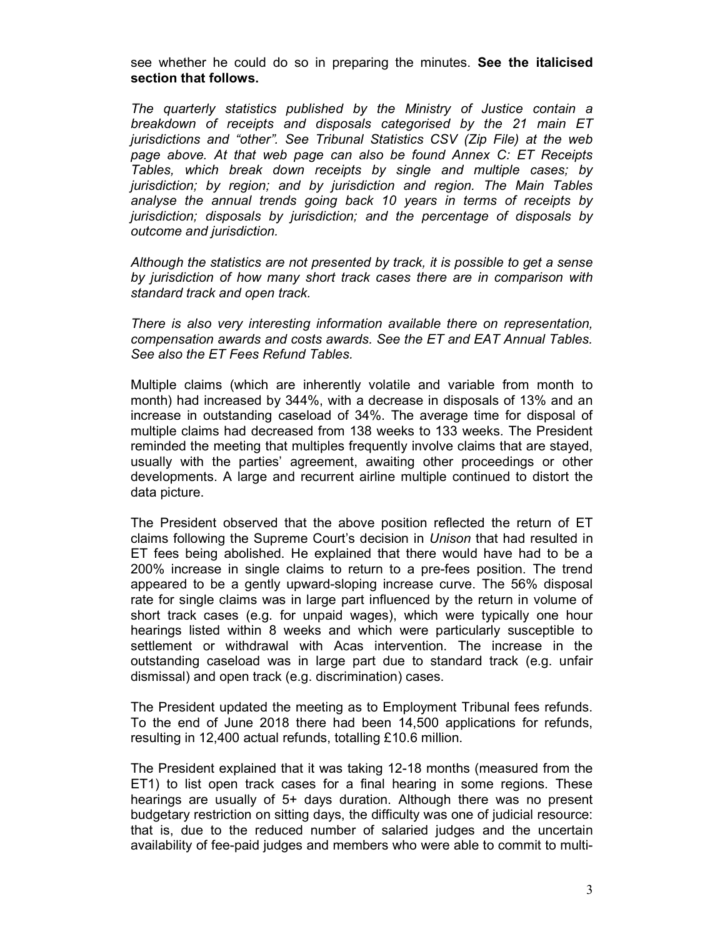see whether he could do so in preparing the minutes. See the italicised section that follows.

The quarterly statistics published by the Ministry of Justice contain a breakdown of receipts and disposals categorised by the 21 main ET jurisdictions and "other". See Tribunal Statistics CSV (Zip File) at the web page above. At that web page can also be found Annex C: ET Receipts Tables, which break down receipts by single and multiple cases; by jurisdiction; by region; and by jurisdiction and region. The Main Tables analyse the annual trends going back 10 years in terms of receipts by jurisdiction; disposals by jurisdiction; and the percentage of disposals by outcome and jurisdiction.

Although the statistics are not presented by track, it is possible to get a sense by jurisdiction of how many short track cases there are in comparison with standard track and open track.

There is also very interesting information available there on representation, compensation awards and costs awards. See the ET and EAT Annual Tables. See also the ET Fees Refund Tables.

Multiple claims (which are inherently volatile and variable from month to month) had increased by 344%, with a decrease in disposals of 13% and an increase in outstanding caseload of 34%. The average time for disposal of multiple claims had decreased from 138 weeks to 133 weeks. The President reminded the meeting that multiples frequently involve claims that are stayed, usually with the parties' agreement, awaiting other proceedings or other developments. A large and recurrent airline multiple continued to distort the data picture.

The President observed that the above position reflected the return of ET claims following the Supreme Court's decision in Unison that had resulted in ET fees being abolished. He explained that there would have had to be a 200% increase in single claims to return to a pre-fees position. The trend appeared to be a gently upward-sloping increase curve. The 56% disposal rate for single claims was in large part influenced by the return in volume of short track cases (e.g. for unpaid wages), which were typically one hour hearings listed within 8 weeks and which were particularly susceptible to settlement or withdrawal with Acas intervention. The increase in the outstanding caseload was in large part due to standard track (e.g. unfair dismissal) and open track (e.g. discrimination) cases.

The President updated the meeting as to Employment Tribunal fees refunds. To the end of June 2018 there had been 14,500 applications for refunds, resulting in 12,400 actual refunds, totalling £10.6 million.

The President explained that it was taking 12-18 months (measured from the ET1) to list open track cases for a final hearing in some regions. These hearings are usually of 5+ days duration. Although there was no present budgetary restriction on sitting days, the difficulty was one of judicial resource: that is, due to the reduced number of salaried judges and the uncertain availability of fee-paid judges and members who were able to commit to multi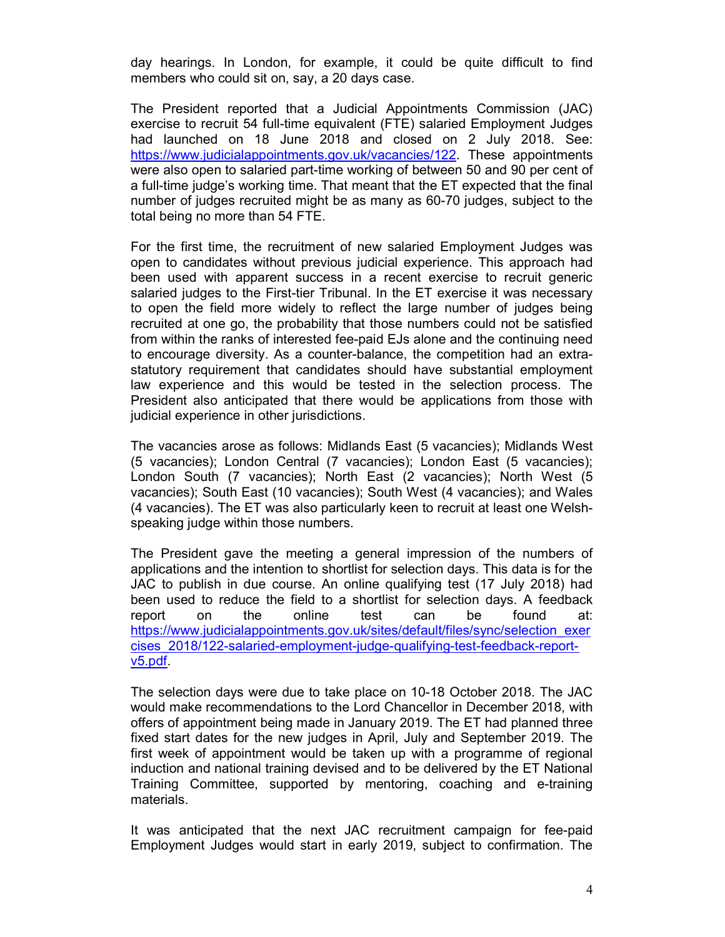day hearings. In London, for example, it could be quite difficult to find members who could sit on, say, a 20 days case.

The President reported that a Judicial Appointments Commission (JAC) exercise to recruit 54 full-time equivalent (FTE) salaried Employment Judges had launched on 18 June 2018 and closed on 2 July 2018. See: https://www.judicialappointments.gov.uk/vacancies/122. These appointments were also open to salaried part-time working of between 50 and 90 per cent of a full-time judge's working time. That meant that the ET expected that the final number of judges recruited might be as many as 60-70 judges, subject to the total being no more than 54 FTE.

For the first time, the recruitment of new salaried Employment Judges was open to candidates without previous judicial experience. This approach had been used with apparent success in a recent exercise to recruit generic salaried judges to the First-tier Tribunal. In the ET exercise it was necessary to open the field more widely to reflect the large number of judges being recruited at one go, the probability that those numbers could not be satisfied from within the ranks of interested fee-paid EJs alone and the continuing need to encourage diversity. As a counter-balance, the competition had an extrastatutory requirement that candidates should have substantial employment law experience and this would be tested in the selection process. The President also anticipated that there would be applications from those with judicial experience in other jurisdictions.

The vacancies arose as follows: Midlands East (5 vacancies); Midlands West (5 vacancies); London Central (7 vacancies); London East (5 vacancies); London South (7 vacancies); North East (2 vacancies); North West (5 vacancies); South East (10 vacancies); South West (4 vacancies); and Wales (4 vacancies). The ET was also particularly keen to recruit at least one Welshspeaking judge within those numbers.

The President gave the meeting a general impression of the numbers of applications and the intention to shortlist for selection days. This data is for the JAC to publish in due course. An online qualifying test (17 July 2018) had been used to reduce the field to a shortlist for selection days. A feedback report on the online test can be found at: https://www.judicialappointments.gov.uk/sites/default/files/sync/selection\_exer cises\_2018/122-salaried-employment-judge-qualifying-test-feedback-reportv5.pdf.

The selection days were due to take place on 10-18 October 2018. The JAC would make recommendations to the Lord Chancellor in December 2018, with offers of appointment being made in January 2019. The ET had planned three fixed start dates for the new judges in April, July and September 2019. The first week of appointment would be taken up with a programme of regional induction and national training devised and to be delivered by the ET National Training Committee, supported by mentoring, coaching and e-training materials.

It was anticipated that the next JAC recruitment campaign for fee-paid Employment Judges would start in early 2019, subject to confirmation. The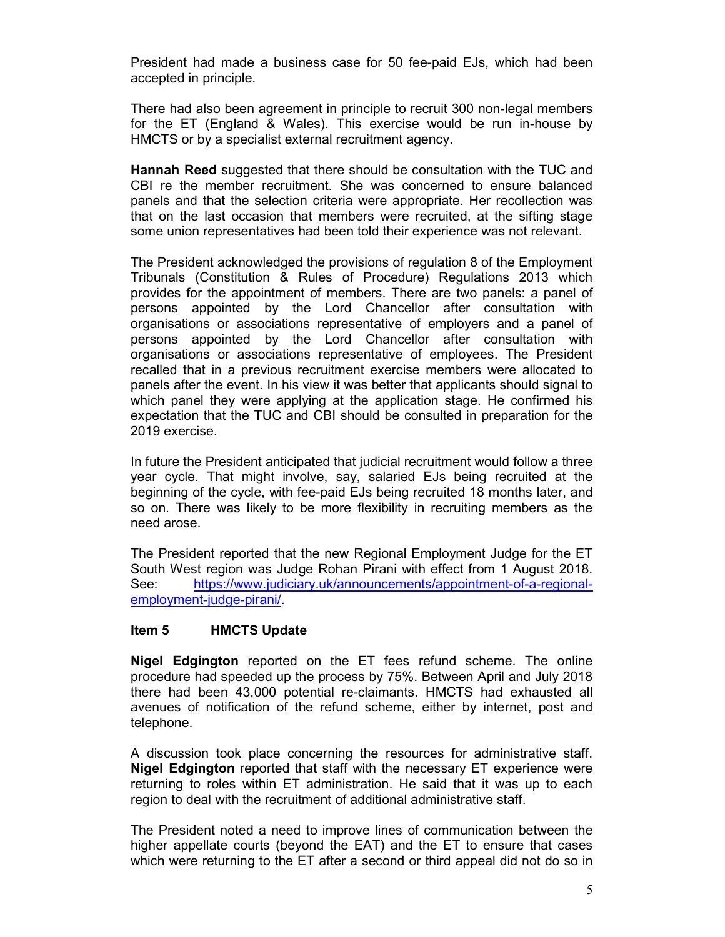President had made a business case for 50 fee-paid EJs, which had been accepted in principle.

There had also been agreement in principle to recruit 300 non-legal members for the ET (England & Wales). This exercise would be run in-house by HMCTS or by a specialist external recruitment agency.

Hannah Reed suggested that there should be consultation with the TUC and CBI re the member recruitment. She was concerned to ensure balanced panels and that the selection criteria were appropriate. Her recollection was that on the last occasion that members were recruited, at the sifting stage some union representatives had been told their experience was not relevant.

The President acknowledged the provisions of regulation 8 of the Employment Tribunals (Constitution & Rules of Procedure) Regulations 2013 which provides for the appointment of members. There are two panels: a panel of persons appointed by the Lord Chancellor after consultation with organisations or associations representative of employers and a panel of persons appointed by the Lord Chancellor after consultation with organisations or associations representative of employees. The President recalled that in a previous recruitment exercise members were allocated to panels after the event. In his view it was better that applicants should signal to which panel they were applying at the application stage. He confirmed his expectation that the TUC and CBI should be consulted in preparation for the 2019 exercise.

In future the President anticipated that judicial recruitment would follow a three year cycle. That might involve, say, salaried EJs being recruited at the beginning of the cycle, with fee-paid EJs being recruited 18 months later, and so on. There was likely to be more flexibility in recruiting members as the need arose.

The President reported that the new Regional Employment Judge for the ET South West region was Judge Rohan Pirani with effect from 1 August 2018. See: https://www.judiciary.uk/announcements/appointment-of-a-regionalemployment-judge-pirani/.

#### Item 5 HMCTS Update

Nigel Edgington reported on the ET fees refund scheme. The online procedure had speeded up the process by 75%. Between April and July 2018 there had been 43,000 potential re-claimants. HMCTS had exhausted all avenues of notification of the refund scheme, either by internet, post and telephone.

A discussion took place concerning the resources for administrative staff. Nigel Edgington reported that staff with the necessary ET experience were returning to roles within ET administration. He said that it was up to each region to deal with the recruitment of additional administrative staff.

The President noted a need to improve lines of communication between the higher appellate courts (beyond the EAT) and the ET to ensure that cases which were returning to the ET after a second or third appeal did not do so in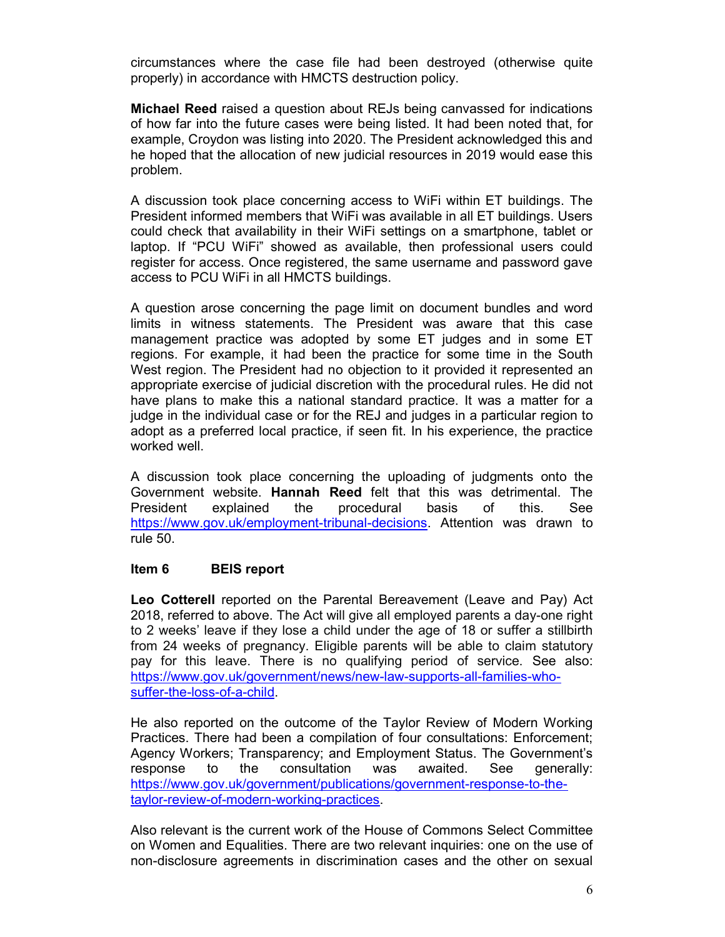circumstances where the case file had been destroyed (otherwise quite properly) in accordance with HMCTS destruction policy.

Michael Reed raised a question about REJs being canvassed for indications of how far into the future cases were being listed. It had been noted that, for example, Croydon was listing into 2020. The President acknowledged this and he hoped that the allocation of new judicial resources in 2019 would ease this problem.

A discussion took place concerning access to WiFi within ET buildings. The President informed members that WiFi was available in all ET buildings. Users could check that availability in their WiFi settings on a smartphone, tablet or laptop. If "PCU WiFi" showed as available, then professional users could register for access. Once registered, the same username and password gave access to PCU WiFi in all HMCTS buildings.

A question arose concerning the page limit on document bundles and word limits in witness statements. The President was aware that this case management practice was adopted by some ET judges and in some ET regions. For example, it had been the practice for some time in the South West region. The President had no objection to it provided it represented an appropriate exercise of judicial discretion with the procedural rules. He did not have plans to make this a national standard practice. It was a matter for a judge in the individual case or for the REJ and judges in a particular region to adopt as a preferred local practice, if seen fit. In his experience, the practice worked well.

A discussion took place concerning the uploading of judgments onto the Government website. Hannah Reed felt that this was detrimental. The President explained the procedural basis of this. See https://www.gov.uk/employment-tribunal-decisions. Attention was drawn to rule 50.

#### Item 6 BEIS report

Leo Cotterell reported on the Parental Bereavement (Leave and Pay) Act 2018, referred to above. The Act will give all employed parents a day-one right to 2 weeks' leave if they lose a child under the age of 18 or suffer a stillbirth from 24 weeks of pregnancy. Eligible parents will be able to claim statutory pay for this leave. There is no qualifying period of service. See also: https://www.gov.uk/government/news/new-law-supports-all-families-whosuffer-the-loss-of-a-child.

He also reported on the outcome of the Taylor Review of Modern Working Practices. There had been a compilation of four consultations: Enforcement; Agency Workers; Transparency; and Employment Status. The Government's response to the consultation was awaited. See generally: https://www.gov.uk/government/publications/government-response-to-thetaylor-review-of-modern-working-practices.

Also relevant is the current work of the House of Commons Select Committee on Women and Equalities. There are two relevant inquiries: one on the use of non-disclosure agreements in discrimination cases and the other on sexual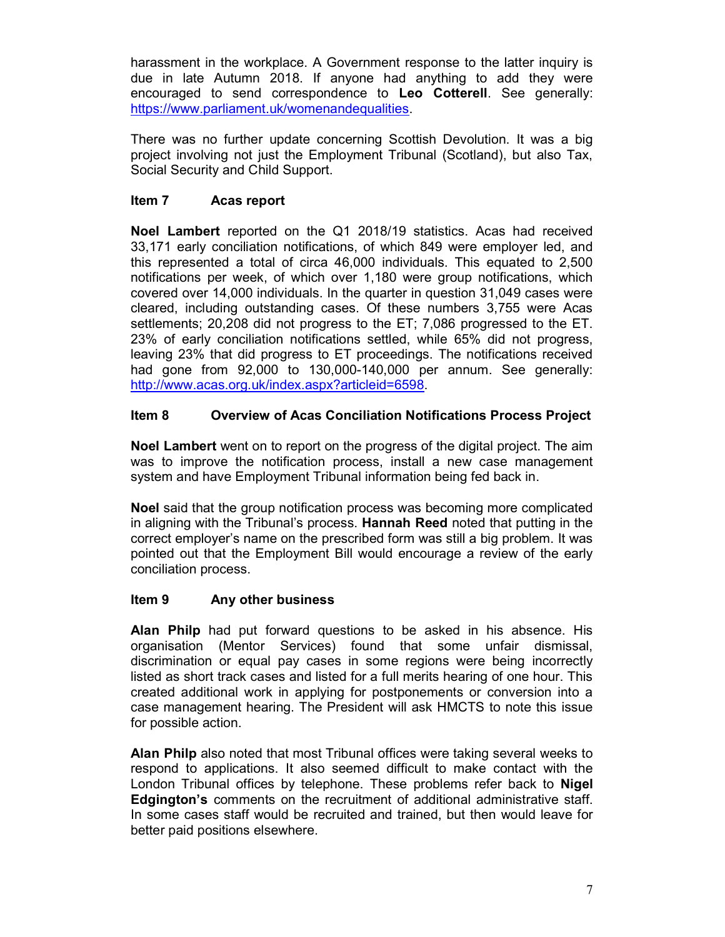harassment in the workplace. A Government response to the latter inquiry is due in late Autumn 2018. If anyone had anything to add they were encouraged to send correspondence to Leo Cotterell. See generally: https://www.parliament.uk/womenandequalities.

There was no further update concerning Scottish Devolution. It was a big project involving not just the Employment Tribunal (Scotland), but also Tax, Social Security and Child Support.

### Item 7 Acas report

Noel Lambert reported on the Q1 2018/19 statistics. Acas had received 33,171 early conciliation notifications, of which 849 were employer led, and this represented a total of circa 46,000 individuals. This equated to 2,500 notifications per week, of which over 1,180 were group notifications, which covered over 14,000 individuals. In the quarter in question 31,049 cases were cleared, including outstanding cases. Of these numbers 3,755 were Acas settlements; 20,208 did not progress to the ET; 7,086 progressed to the ET. 23% of early conciliation notifications settled, while 65% did not progress, leaving 23% that did progress to ET proceedings. The notifications received had gone from 92,000 to 130,000-140,000 per annum. See generally: http://www.acas.org.uk/index.aspx?articleid=6598.

## Item 8 Overview of Acas Conciliation Notifications Process Project

Noel Lambert went on to report on the progress of the digital project. The aim was to improve the notification process, install a new case management system and have Employment Tribunal information being fed back in.

Noel said that the group notification process was becoming more complicated in aligning with the Tribunal's process. Hannah Reed noted that putting in the correct employer's name on the prescribed form was still a big problem. It was pointed out that the Employment Bill would encourage a review of the early conciliation process.

#### Item 9 Any other business

Alan Philp had put forward questions to be asked in his absence. His organisation (Mentor Services) found that some unfair dismissal, discrimination or equal pay cases in some regions were being incorrectly listed as short track cases and listed for a full merits hearing of one hour. This created additional work in applying for postponements or conversion into a case management hearing. The President will ask HMCTS to note this issue for possible action.

Alan Philp also noted that most Tribunal offices were taking several weeks to respond to applications. It also seemed difficult to make contact with the London Tribunal offices by telephone. These problems refer back to **Nigel** Edgington's comments on the recruitment of additional administrative staff. In some cases staff would be recruited and trained, but then would leave for better paid positions elsewhere.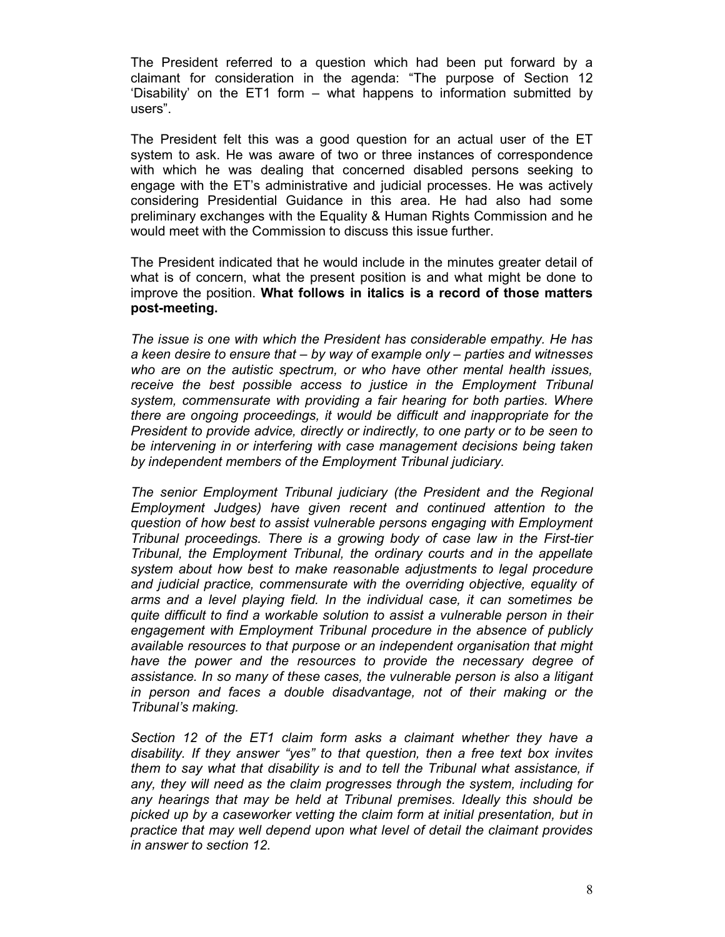The President referred to a question which had been put forward by a claimant for consideration in the agenda: "The purpose of Section 12 'Disability' on the ET1 form – what happens to information submitted by users".

The President felt this was a good question for an actual user of the ET system to ask. He was aware of two or three instances of correspondence with which he was dealing that concerned disabled persons seeking to engage with the ET's administrative and judicial processes. He was actively considering Presidential Guidance in this area. He had also had some preliminary exchanges with the Equality & Human Rights Commission and he would meet with the Commission to discuss this issue further.

The President indicated that he would include in the minutes greater detail of what is of concern, what the present position is and what might be done to improve the position. What follows in italics is a record of those matters post-meeting.

The issue is one with which the President has considerable empathy. He has a keen desire to ensure that – by way of example only – parties and witnesses who are on the autistic spectrum, or who have other mental health issues, receive the best possible access to justice in the Employment Tribunal system, commensurate with providing a fair hearing for both parties. Where there are ongoing proceedings, it would be difficult and inappropriate for the President to provide advice, directly or indirectly, to one party or to be seen to be intervening in or interfering with case management decisions being taken by independent members of the Employment Tribunal judiciary.

The senior Employment Tribunal judiciary (the President and the Regional Employment Judges) have given recent and continued attention to the question of how best to assist vulnerable persons engaging with Employment Tribunal proceedings. There is a growing body of case law in the First-tier Tribunal, the Employment Tribunal, the ordinary courts and in the appellate system about how best to make reasonable adjustments to legal procedure and judicial practice, commensurate with the overriding objective, equality of arms and a level playing field. In the individual case, it can sometimes be quite difficult to find a workable solution to assist a vulnerable person in their engagement with Employment Tribunal procedure in the absence of publicly available resources to that purpose or an independent organisation that might have the power and the resources to provide the necessary degree of assistance. In so many of these cases, the vulnerable person is also a litigant in person and faces a double disadvantage, not of their making or the Tribunal's making.

Section 12 of the ET1 claim form asks a claimant whether they have a disability. If they answer "yes" to that question, then a free text box invites them to say what that disability is and to tell the Tribunal what assistance, if any, they will need as the claim progresses through the system, including for any hearings that may be held at Tribunal premises. Ideally this should be picked up by a caseworker vetting the claim form at initial presentation, but in practice that may well depend upon what level of detail the claimant provides in answer to section 12.